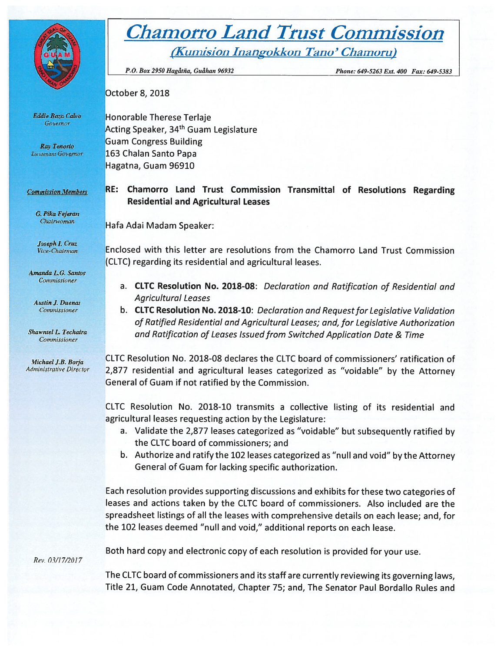

# **Chamorro Land Trust Commission** (Kumision Inangokkon Tano' Chamoru)

P.O. Box 2950 Hagåtña, Guåhan 96932

Phone: 649-5263 Ext. 400 Fax: 649-5383

October 8, 2018

**Honorable Therese Terlaje** Acting Speaker, 34<sup>th</sup> Guam Legislature **Guam Congress Building** 163 Chalan Santo Papa Hagatna, Guam 96910

RE: Chamorro Land Trust Commission Transmittal of Resolutions Regarding **Residential and Agricultural Leases** 

Hafa Adai Madam Speaker:

Enclosed with this letter are resolutions from the Chamorro Land Trust Commission (CLTC) regarding its residential and agricultural leases.

- a. CLTC Resolution No. 2018-08: Declaration and Ratification of Residential and **Agricultural Leases**
- b. CLTC Resolution No. 2018-10: Declaration and Request for Legislative Validation of Ratified Residential and Agricultural Leases; and, for Legislative Authorization and Ratification of Leases Issued from Switched Application Date & Time

CLTC Resolution No. 2018-08 declares the CLTC board of commissioners' ratification of 2,877 residential and agricultural leases categorized as "voidable" by the Attorney General of Guam if not ratified by the Commission.

CLTC Resolution No. 2018-10 transmits a collective listing of its residential and agricultural leases requesting action by the Legislature:

- a. Validate the 2,877 leases categorized as "voidable" but subsequently ratified by the CLTC board of commissioners; and
- b. Authorize and ratify the 102 leases categorized as "null and void" by the Attorney General of Guam for lacking specific authorization.

Each resolution provides supporting discussions and exhibits for these two categories of leases and actions taken by the CLTC board of commissioners. Also included are the spreadsheet listings of all the leases with comprehensive details on each lease; and, for the 102 leases deemed "null and void," additional reports on each lease.

Both hard copy and electronic copy of each resolution is provided for your use.

The CLTC board of commissioners and its staff are currently reviewing its governing laws, Title 21, Guam Code Annotated, Chapter 75; and, The Senator Paul Bordallo Rules and

**Eddie Baza Calvo** Governor

Ray Tenorio Lieutenant Governor

**Commission Members** 

G. Pika Fejeran Chairwoman

Joseph I. Cruz Vice-Chairman

Amanda L.G. Santos Commissioner

**Austin J. Duenas** Commissioner

**Shawntel L. Techaira** Commissioner

Michael J.B. Borja **Administrative Director** 

Rev. 03/17/2017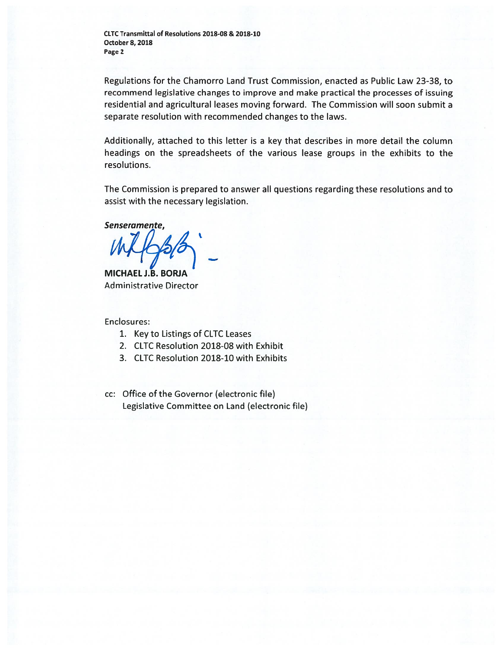Regulations for the Chamorro Land Trust Commission, enacted as Public Law 23-32, to recommend legislative changes to improve and make practical the processes of issuing residential and agricultural leases moving forward. The Commission will soon submit <sup>a</sup> separate resolution with recommended changes to the laws.

Additionally, attached to this letter is <sup>a</sup> key that describes in more detail the column headings on the spreadsheets of the various lease groups in the exhibits to the resolutions.

The Commission is prepared to answer all questions regarding these resolutions and to assist with the necessary legislation.

Senseramente,

MICHAELJ.B. BORJA Administrative Director

Enclosures:

- 1. Key to Listings of CLTC Leases
- 2. CLTC Resolution 2018-08 with Exhibit
- 3. CLTC Resolution 2018-10 with Exhibits
- cc: Office of the Governor (electronic file) Legislative Committee on Land (electronic file)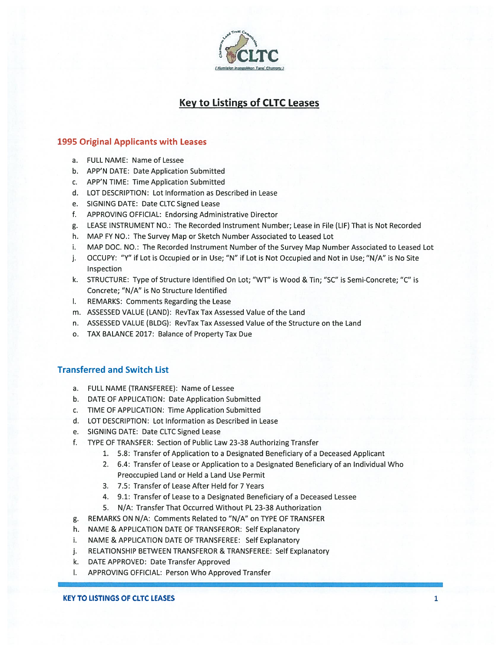

## Key to Listings of CLTC Leases

### 1995 Original Applicants with Leases

- a. FULL NAME: Name of Lessee
- b. APP'N DATE: Date Application Submitted
- c. APP'N TIME: Time Application Submitted
- d. LOT DESCRIPTION: Lot Information as Described in Lease
- e. SIGNING DATE: Date CLTC Signed Lease
- f. APPROVING OFFICIAL: Endorsing Administrative Director
- g. LEASE INSTRUMENT NO.: The Recorded Instrument Number; Lease in File (LIF) That is Not Recorded
- h. MAP FY NO.: The Survey Map or Sketch Number Associated to Leased Lot
- i. MAP DOC. NO.: The Recorded Instrument Number of the Survey Map Number Associated to Leased Lot
- j. OCCUPY: "Y" if Lot is Occupied or in Use; "N" if Lot is Not Occupied and Not in Use; "N/A" is No Site Inspection
- k. STRUCTURE: Type of Structure Identified On Lot; "WT" is Wood & Tin; "SC" is Semi-Concrete; "C" is Concrete; "N/A" is No Structure Identified
- I. REMARKS: Comments Regarding the Lease
- m. ASSESSED VALUE (LAND): RevTax Tax Assessed Value of the Land
- n. ASSESSED VALUE (BLDG): RevTax Tax Assessed Value of the Structure on the Land
- o. TAX BALANCE 2017: Balance of Property Tax Due

#### Transferred and Switch List

- a. FULL NAME (TRANSFEREE): Name of Lessee
- b. DATE OF APPLICATION: Date Application Submitted
- c. TIME OF APPLICATION: Time Application Submitted
- d. LOT DESCRIPTION: Lot Information as Described in Lease
- e. SIGNING DATE: Date CLTC Signed Lease
- f. TYPE OF TRANSFER: Section of Public Law 23-38 Authorizing Transfer
	- 1. 5.8: Transfer of Application to <sup>a</sup> Designated Beneficiary of <sup>a</sup> Deceased Applicant
	- 2. 6.4: Transfer of Lease or Application to <sup>a</sup> Designated Beneficiary of an Individual Who Preoccupied Land or Held <sup>a</sup> Land Use Permit
	- 3. 7.5: Transfer of Lease After Held for 7 Years
	- 4. 9.1: Transfer of Lease to <sup>a</sup> Designated Beneficiary of <sup>a</sup> Deceased Lessee
	- 5. N/A: Transfer That Occurred Without PL 23-38 Authorization
- g. REMARKS ON N/A: Comments Related to "N/A" on TYPE OF TRANSFER
- h. NAME & APPLICATION DATE OF TRANSFEROR: Self Explanatory
- i. NAME & APPLICATION DATE OF TRANSFEREE: Self Explanatory
- j. RELATIONSHIP BETWEEN TRANSFEROR & TRANSFEREE: Self Explanatory
- k. DATE APPROVED: Date Transfer Approved
- I. APPROVING OFFICIAL: Person Who Approved Transfer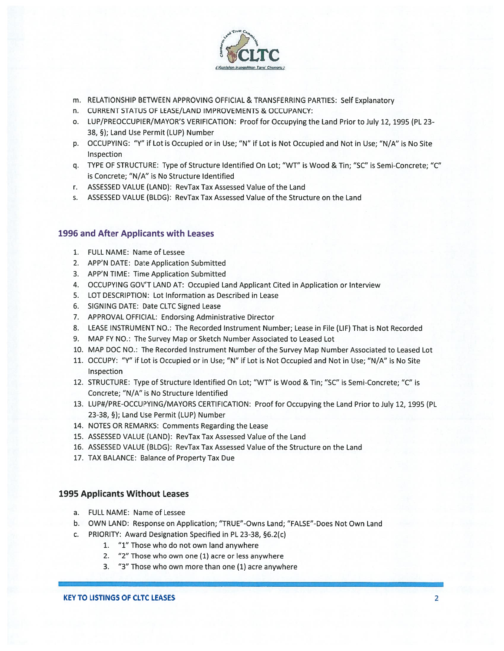

- m. RELATIONSHIP BETWEEN APPROVING OFFICIAL & TRANSFERRING PARTIES: Self Explanatory
- n. CURRENT STATUS OF LEASE/LAND IMPROVEMENTS & OCCUPANCY:
- o. LUP/PREOCCUPIER/MAYOR'S VERIFICATION: Proof for Occupying the Land Prior to July 12, 1995 (PL 23- 38, §); Land Use Permit (LUP) Number
- p. OCCUPYING: "Y" if Lot is Occupied or in Use; "N" if Lot is Not Occupied and Not in Use; "N/A" is No Site Inspection
- q. TYPE OF STRUCTURE: Type of Structure Identified On Lot; "WT" is Wood & Tin; "SC" is Semi-Concrete; "C" is Concrete; "N/A" is No Structure Identified
- r. ASSESSED VALUE (LAND): RevTax Tax Assessed Value of the Land
- s. ASSESSED VALUE (BLDG): RevTax Tax Assessed Value of the Structure on the Land

#### 1996 and After Applicants with Leases

- 1. FULL NAME: Name of Lessee
- 2. APP'N DATE: Date Application Submitted
- 3. APP'N TIME: Time Application Submitted
- 4. OCCUPYING GOV'T LAND AT: Occupied Land Applicant Cited in Application or Interview
- 5. LOT DESCRIPTION: Lot Information as Described in Lease
- 6. SIGNING DATE: Date CLTC Signed Lease
- 7. APPROVAL OFFICIAL: Endorsing Administrative Director
- 8. LEASE INSTRUMENT NO.: The Recorded Instrument Number; Lease in File (LIF) That is Not Recorded
- 9. MAP FY NO.: The Survey Map or Sketch Number Associated to Leased Lot
- 10. MAP DOC NO.: The Recorded Instrument Number of the Survey Map Number Associated to Leased Lot
- 11. OCCUPY: "Y" if Lot is Occupied or in Use; "N" if Lot is Not Occupied and Not in Use; "N/A" is No Site Inspection
- 12. STRUCTURE: Type of Structure Identified On Lot; "WT" is Wood & Tin; "SC" is Semi-Concrete; "C" is Concrete; "N/A" is No Structure Identified
- 13. LUP#/PRE-OCCUPYING/MAYORS CERTIFICATION: Proof for Occupying the Land Prior to July 12, 1995 (PL 23-38, §); Land Use Permit (LUP) Number
- 14. NOTES OR REMARKS: Comments Regarding the Lease
- 15. ASSESSED VALUE (LAND): RevTax Tax Assessed Value of the Land
- 16. ASSESSED VALUE (BLDG): RevTax Tax Assessed Value of the Structure on the Land
- 17. TAX BALANCE: Balance of Property Tax Due

#### 1995 Applicants Without Leases

- a. FULL NAME: Name of Lessee
- b. OWN LAND: Response on Application; "TRUE"-Owns Land; "FALSE"-Does Not Own Land
- c. PRIORITY: Award Designation Specified in PL 23-38, §6.2(c)
	- 1. "1" Those who do not own land anywhere
	- 2. "2" Those who own one (1) acre or less anywhere
	- 3. "3" Those who own more than one (1) acre anywhere